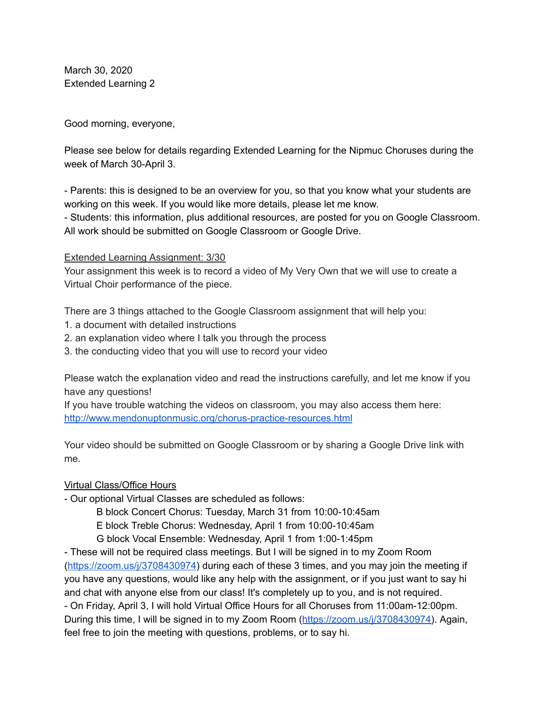March 30, 2020 Extended Learning 2

Good morning, everyone,

Please see below for details regarding Extended Learning for the Nipmuc Choruses during the week of March 30-April 3.

- Parents: this is designed to be an overview for you, so that you know what your students are working on this week. If you would like more details, please let me know.

- Students: this information, plus additional resources, are posted for you on Google Classroom. All work should be submitted on Google Classroom or Google Drive.

## Extended Learning Assignment: 3/30

Your assignment this week is to record a video of My Very Own that we will use to create a Virtual Choir performance of the piece.

There are 3 things attached to the Google Classroom assignment that will help you:

- 1. a document with detailed instructions
- 2. an explanation video where I talk you through the process
- 3. the conducting video that you will use to record your video

Please watch the explanation video and read the instructions carefully, and let me know if you have any questions!

If you have trouble watching the videos on classroom, you may also access them here: <http://www.mendonuptonmusic.org/chorus-practice-resources.html>

Your video should be submitted on Google Classroom or by sharing a Google Drive link with me.

## Virtual Class/Office Hours

- Our optional Virtual Classes are scheduled as follows:

B block Concert Chorus: Tuesday, March 31 from 10:00-10:45am

E block Treble Chorus: Wednesday, April 1 from 10:00-10:45am

G block Vocal Ensemble: Wednesday, April 1 from 1:00-1:45pm

- These will not be required class meetings. But I will be signed in to my Zoom Room ([https://zoom.us/j/3708430974\)](https://zoom.us/j/3708430974) during each of these 3 times, and you may join the meeting if you have any questions, would like any help with the assignment, or if you just want to say hi and chat with anyone else from our class! It's completely up to you, and is not required. - On Friday, April 3, I will hold Virtual Office Hours for all Choruses from 11:00am-12:00pm. During this time, I will be signed in to my Zoom Room [\(https://zoom.us/j/3708430974\)](https://zoom.us/j/3708430974). Again, feel free to join the meeting with questions, problems, or to say hi.